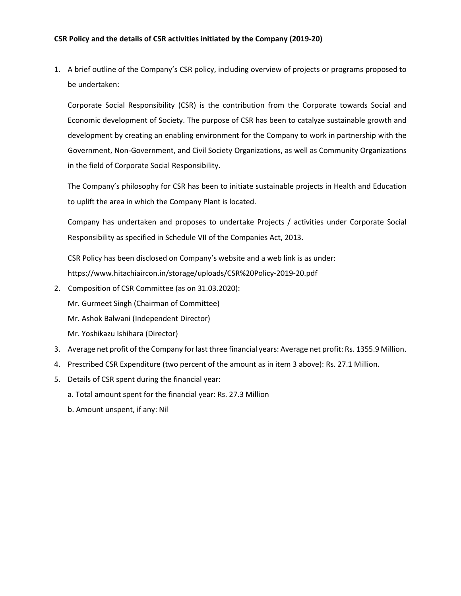1. A brief outline of the Company's CSR policy, including overview of projects or programs proposed to be undertaken:

Corporate Social Responsibility (CSR) is the contribution from the Corporate towards Social and Economic development of Society. The purpose of CSR has been to catalyze sustainable growth and development by creating an enabling environment for the Company to work in partnership with the Government, Non-Government, and Civil Society Organizations, as well as Community Organizations in the field of Corporate Social Responsibility.

The Company's philosophy for CSR has been to initiate sustainable projects in Health and Education to uplift the area in which the Company Plant is located.

Company has undertaken and proposes to undertake Projects / activities under Corporate Social Responsibility as specified in Schedule VII of the Companies Act, 2013.

CSR Policy has been disclosed on Company's website and a web link is as under: https://www.hitachiaircon.in/storage/uploads/CSR%20Policy-2019-20.pdf

- 2. Composition of CSR Committee (as on 31.03.2020):
	- Mr. Gurmeet Singh (Chairman of Committee)
	- Mr. Ashok Balwani (Independent Director)
	- Mr. Yoshikazu Ishihara (Director)
- 3. Average net profit of the Company for last three financial years: Average net profit: Rs. 1355.9 Million.
- 4. Prescribed CSR Expenditure (two percent of the amount as in item 3 above): Rs. 27.1 Million.
- 5. Details of CSR spent during the financial year:
	- a. Total amount spent for the financial year: Rs. 27.3 Million
	- b. Amount unspent, if any: Nil